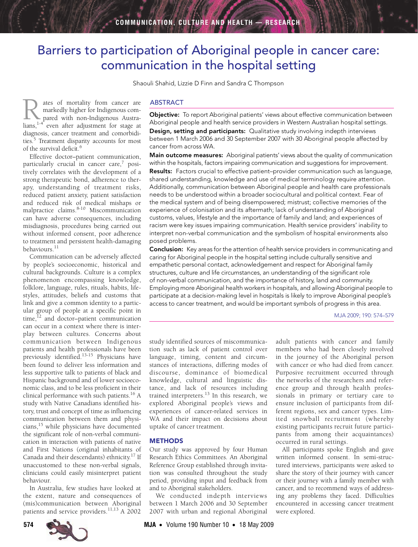# <span id="page-0-0"></span>Barriers to participation of Aboriginal people in cancer care: communication in the hospital setting

Shaouli Shahid, Lizzie D Finn and Sandra C Thompson

ates of mortality from cancer are markedly higher for Indigenous compared with non-Indigenous Austra-**R** ates of mortality from cancer are markedly higher for Indigenous compared with non-Indigenous Australians,<sup>1,[4](#page-5-1)</sup> even after adjustment for stage at diagnosis, cancer treatment and comorbidi-ties.<sup>[5](#page-5-2)</sup> Treatment disparity accounts for most of the survival deficit.<sup>6</sup>

without informed consent, poor adherence to treatment and persistent health-dama[ging](#page-0-0) [behaviou](#page-5-13)rs.<sup>11</sup> Effective doctor–patient communication, particularly crucial in cancer care,<sup>[7](#page-5-4)</sup> positively correlates with the development of a strong therapeutic bond, adherence to therapy, understanding of treatment risks, reduced patient anxiety, patient satisfaction and reduced risk of medical mishaps or malpractice claims[.8-](#page-5-5)[10](#page-5-6) Miscommunication can have adverse consequences, including misdiagnosis, procedures being carried out

naviours.<br>Communication can be adversely affected minumcation call by people's socioeconomic, historical and cultural backgrounds. Culture is a complex phenomenon encompassing knowledge, folklore, language, rules, rituals, habits, lifestyles, attitudes, beliefs and customs that link and give a common identity to a particular group of people at a specific point in time, $12$  and doctor–patient communication can occur in a context where there is interplay between cultures. Concerns about communication between Indigenous patients and health professionals have been previously identified.<sup>[13-](#page-5-9)15</sup> Physicians have been found to deliver less information and less supportive talk to patients of black and Hispanic background and of lower socioeconomic class, and to be less proficient in their clinical performance with such patients.[16](#page-5-11) A study with Native Canadians identified history, trust and concept of time as influencing communication between them and physicians[,15](#page-5-10) while physicians have documented the significant role of non-verbal communication in interaction with patients of native and First Nations (original inhabitants of Canada and their descendants) ethnicity[.17](#page-5-12) If unaccustomed to these non-verbal signals, clinicians could easily misinterpret patient behaviour.

In Australia, few studies have looked at the extent, nature and consequences of (mis)communication between Aboriginal patients and service providers.<sup>[11](#page-5-7),13</sup> A 2002

#### ABSTRACT

Objective: To report Aboriginal patients' views about effective communication between Aboriginal people and health service providers in Western Australian hospital settings. Design, setting and participants: Qualitative study involving indepth interviews between 1 March 2006 and 30 September 2007 with 30 Aboriginal people affected by cancer from across WA.

Main outcome measures: Aboriginal patients' views about the quality of communication within the hospitals, factors impairing communication and suggestions for improvement. Results: Factors crucial to effective patient–provider communication such as language, shared understanding, knowledge and use of medical terminology require attention. Additionally, communication between Aboriginal people and health care professionals needs to be understood within a broader sociocultural and political context. Fear of the medical system and of being disempowered; mistrust; collective memories of the experience of colonisation and its aftermath; lack of understanding of Aboriginal customs, values, lifestyle and the importance of family and land; and experiences of racism were key issues impairing communication. Health service providers' inability to interpret non-verbal communication and the symbolism of hospital environments also posed problems.

**Conclusion:** Key areas for the attention of health service providers in communicating and caring for Aboriginal people in the hospital setting include culturally sensitive and empathetic personal contact, acknowledgement and respect for Aboriginal family structures, culture and life circumstances, an understanding of the significant role of non-verbal communication, and the importance of history, land and community. Employing more Aboriginal health workers in hospitals, and allowing Aboriginal people to participate at a decision-making level in hospitals is likely to improve Aboriginal people's access to cancer treatment, and would be important symbols of progress in this area.

MJA 2009; 190: 574–579

study identified sources of miscommunication such as lack of patient control over language, timing, content and circumstances of interactions, differing modes of discourse, dominance of biomedical knowledge, cultural and linguistic distance, and lack of resources including trained interpreters.<sup>13</sup> In this research, we explored Aboriginal people's views and experiences of cancer-related services in WA and their impact on decisions about uptake of cancer treatment.

#### **METHODS**

Our study was approved by four Human Research Ethics Committees. An Aboriginal Reference Group established through invitation was consulted throughout the study period, providing input and feedback from and to Aboriginal stakeholders.

We conducted indepth interviews between 1 March 2006 and 30 September 2007 with urban and regional Aboriginal

adult patients with cancer and family members who had been closely involved in the journey of the Aboriginal person with cancer or who had died from cancer. Purposive recruitment occurred through the networks of the researchers and reference group and through health professionals in primary or tertiary care to ensure inclusion of participants from different regions, sex and cancer types. Limited snowball recruitment (whereby existing participants recruit future participants from among their acquaintances) occurred in rural settings.

All participants spoke English and gave written informed consent. In semi-structured interviews, participants were asked to share the story of their journey with cancer or their journey with a family member with cancer, and to recommend ways of addressing any problems they faced. Difficulties encountered in accessing cancer treatment were explored.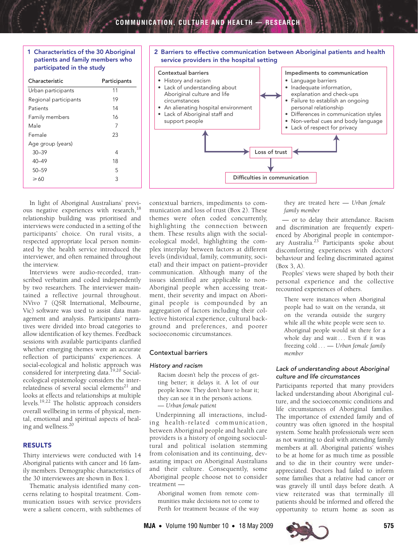# <span id="page-1-0"></span>1 Characteristics of the 30 Aboriginal patients and family members who participated in the study

| Characteristic        | Participants |
|-----------------------|--------------|
| Urban participants    | 11           |
| Regional participants | 19           |
| Patients              | 14           |
| Family members        | 16           |
| Male                  |              |
| Female                | 23           |
| Age group (years)     |              |
| $30 - 39$             | 4            |
| 40–49                 | 18           |
| $50 - 59$             | 5            |
| $\geqslant$ 60        | 3            |
|                       |              |

#### <span id="page-1-1"></span>2 Barriers to effective communication between Aboriginal patients and health service providers in the hospital setting Loss of trust Difficulties in communication Contextual barriers • History and racism Lack of understanding about Aboriginal culture and life circumstances • An alienating hospital environment • Lack of Aboriginal staff and support people Impediments to communication • Language barriers • Inadequate information, explanation and check-ups • Failure to establish an ongoing personal relationship • Differences in communication styles • Non-verbal cues and body language Lack of respect for privacy

In light of Aboriginal Australians' previ-ous negative experiences with research,<sup>[18](#page-5-14)</sup> relationship building was prioritised and interviews were conducted in a setting of the participants' choice. On rural visits, a respected appropriate local person nominated by the health service introduced the interviewer, and often remained throughout the interview.

Interviews were audio-recorded, transcribed verbatim and coded independently by two researchers. The interviewer maintained a reflective journal throughout. NVivo 7 (QSR International, Melbourne, Vic) software was used to assist data management and analysis. Participants' narratives were divided into broad categories to allow identification of key themes. Feedback sessions with available participants clarified whether emerging themes were an accurate reflection of participants' experiences. A social-ecological and holistic approach was considered for interpreting data.<sup>19,20</sup> Socialecological epistemology considers the interrelatedness of several social elements $^{21}$  $^{21}$  $^{21}$  and looks at effects and relationships at multiple levels.[19](#page-5-15),[22](#page-5-18) The holistic approach considers overall wellbeing in terms of physical, mental, emotional and spiritual aspects of healing and wellness.[20](#page-5-16)

# RESULTS

Thirty interviews were conducted with 14 Aboriginal patients with cancer and 16 family members. Demographic characteristics of the 30 interviewees are shown in [Box 1](#page-1-0).

Thematic analysis identified many concerns relating to hospital treatment. Communication issues with service providers were a salient concern, with subthemes of contextual barriers, impediments to communication and loss of trust ([Box 2\)](#page-1-1). These themes were often coded concurrently, highlighting the connection between them. These results align with the socialecological model, highlighting the complex interplay between factors at different levels (individual, family, community, societal) and their impact on patient–provider communication. Although many of the issues identified are applicable to non-Aboriginal people when accessing treatment, their severity and impact on Aboriginal people is compounded by an aggregation of factors including their collective historical experience, cultural background and preferences, and poorer socioeconomic circumstances.

# Contextual barriers

## History and racism

Racism doesn't help the process of getting better; it delays it. A lot of our people know. They don't have to hear it; they can see it in the person's actions. — *Urban female patient*

Underpinning all interactions, including health-related communication, between Aboriginal people and health care providers is a history of ongoing sociocultural and political isolation stemming from colonisation and its continuing, devastating impact on Aboriginal Australians and their culture. Consequently, some Aboriginal people choose not to consider treatment —

Aboriginal women from remote communities make decisions not to come to Perth for treatment because of the way

they are treated here — *Urban female family member*

— or to delay their attendance. Racism and discrimination are frequently experienced by Aboriginal people in contemporary Australia.<sup>23</sup> Participants spoke about discomforting experiences with doctors' behaviour and feeling discriminated against ([Box 3,](#page-2-0) A).

Peoples' views were shaped by both their personal experience and the collective recounted experiences of others.

There were instances when Aboriginal people had to wait on the veranda, sit on the veranda outside the surgery while all the white people were seen to. Aboriginal people would sit there for a whole day and wait ... Even if it was freezing cold . . . — *Urban female family member*

# Lack of understanding about Aboriginal culture and life circumstances

Participants reported that many providers lacked understanding about Aboriginal culture, and the socioeconomic conditions and life circumstances of Aboriginal families. The importance of extended family and of country was often ignored in the hospital system. Some health professionals were seen as not wanting to deal with attending family members at all. Aboriginal patients' wishes to be at home for as much time as possible and to die in their country were underappreciated. Doctors had failed to inform some families that a relative had cancer or was gravely ill until days before death. A view reiterated was that terminally ill patients should be informed and offered the opportunity to return home as soon as

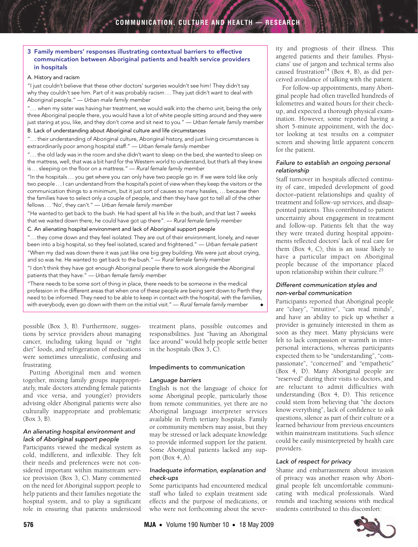# <span id="page-2-0"></span>3 Family members' responses illustrating contextual barriers to effective communication between Aboriginal patients and health service providers in hospitals

#### A. History and racism

"I just couldn't believe that these other doctors' surgeries wouldn't see him! They didn't say why they couldn't see him. Part of it was probably racism . . . They just didn't want to deal with Aboriginal people." — Urban male family member

". . . when my sister was having her treatment, we would walk into the chemo unit, being the only three Aboriginal people there, you would have a lot of white people sitting around and they were just staring at you, like, and they don't come and sit next to you." — Urban female family member

#### B. Lack of understanding about Aboriginal culture and life circumstances

". . . their understanding of Aboriginal culture, Aboriginal history, and just living circumstances is extraordinarily poor among hospital staff." — Urban female family member

". . . the old lady was in the room and she didn't want to sleep on the bed, she wanted to sleep on the mattress, well, that was a bit hard for the Western world to understand, but that's all they knew is... sleeping on the floor on a mattress." - Rural female family member

"In the hospitals . . . you get where you can only have two people go in. If we were told like only two people . . . I can understand from the hospital's point of view when they keep the visitors or the communication things to a minimum, but it just sort of causes so many hassles, . . . because then the families have to select only a couple of people, and then they have got to tell all of the other fellows . . . 'No', they can't." — Urban female family member

"He wanted to get back to the bush. He had spent all his life in the bush, and that last 7 weeks that we waited down there, he could have got up there". — Rural female family member

C. An alienating hospital environment and lack of Aboriginal support people

". . . they come down and they feel isolated. They are out of their environment, lonely, and never been into a big hospital, so they feel isolated, scared and frightened." — Urban female patient "When my dad was down there it was just like one big grey building. We were just about crying, and so was he. He wanted to get back to the bush." — Rural female family member

"I don't think they have got enough Aboriginal people there to work alongside the Aboriginal patients that they have." — Urban female family member

"There needs to be some sort of thing in place, there needs to be someone in the medical profession in the different areas that when one of these people are being sent down to Perth they need to be informed. They need to be able to keep in contact with the hospital, with the families, with everybody, even go down with them on the initial visit."  $-$  Rural female family member

possible [\(Box 3](#page-2-0), B). Furthermore, suggestions by service providers about managing cancer, including taking liquid or "right diet" foods, and refrigeration of medications were sometimes unrealistic, confusing and frustrating.

Putting Aboriginal men and women together, mixing family groups inappropriately, male doctors attending female patients and vice versa, and young(er) providers advising older Aboriginal patients were also culturally inappropriate and problematic ([Box 3,](#page-2-0) B).

#### An alienating hospital environment and lack of Aboriginal support people

Participants viewed the medical system as cold, indifferent, and inflexible. They felt their needs and preferences were not considered important within mainstream service provision ([Box 3](#page-2-0), C). Many commented on the need for Aboriginal support people to help patients and their families negotiate the hospital system, and to play a significant role in ensuring that patients understood

treatment plans, possible outcomes and responsibilities. Just "having an Aboriginal face around" would help people settle better in the hospitals ([Box 3,](#page-2-0) C).

## Impediments to communication

## Language barriers

English is not the language of choice for some Aboriginal people, particularly those from remote communities, yet there are no Aboriginal language interpreter services available in Perth tertiary hospitals. Family or community members may assist, but they may be stressed or lack adequate knowledge to provide informed support for the patient. Some Aboriginal patients lacked any support [\(Box 4](#page-3-0), A).

#### Inadequate information, explanation and check-ups

Some participants had encountered medical staff who failed to explain treatment side effects and the purpose of medications, or who were not forthcoming about the severity and prognosis of their illness. This angered patients and their families. Physicians' use of jargon and technical terms also caused frustration<sup>24</sup> ([Box 4](#page-3-0), B), as did perceived avoidance of talking with the patient.

For follow-up appointments, many Aboriginal people had often travelled hundreds of kilometres and waited hours for their checkup, and expected a thorough physical examination. However, some reported having a short 5-minute appointment, with the doctor looking at test results on a computer screen and showing little apparent concern for the patient.

# Failure to establish an ongoing personal relationship

Staff turnover in hospitals affected continuity of care, impeded development of good doctor–patient relationships and quality of treatment and follow-up services, and disappointed patients. This contributed to patient uncertainty about engagement in treatment and follow-up. Patients felt that the way they were treated during hospital appointments reflected doctors' lack of real care for them ([Box 4](#page-3-0), C); this is an issue likely to have a particular impact on Aboriginal people because of the importance placed upon relationship within their culture.<sup>[25](#page-5-21)</sup>

# Different communication styles and non-verbal communication

Participants reported that Aboriginal people are "cluey", "intuitive", "can read minds", and have an ability to pick up whether a provider is genuinely interested in them as soon as they meet. Many physicians were felt to lack compassion or warmth in interpersonal interactions, whereas participants expected them to be "understanding", "compassionate", "concerned" and "empathetic" ([Box 4,](#page-3-0) D). Many Aboriginal people are "reserved" during their visits to doctors, and are reluctant to admit difficulties with understanding [\(Box 4,](#page-3-0) D). This reticence could stem from believing that "the doctors know everything", lack of confidence to ask questions, silence as part of their culture or a learned behaviour from previous encounters within mainstream institutions. Such silence could be easily misinterpreted by health care providers.

## Lack of respect for privacy

Shame and embarrassment about invasion of privacy was another reason why Aboriginal people felt uncomfortable communicating with medical professionals. Ward rounds and teaching sessions with medical students contributed to this discomfort:

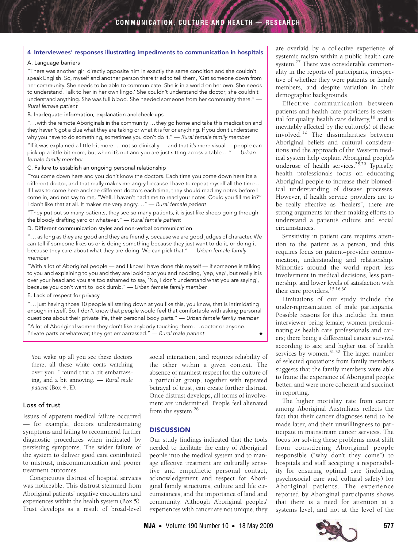# <span id="page-3-0"></span>4 Interviewees' responses illustrating impediments to communication in hospitals

#### A. Language barriers

"There was another girl directly opposite him in exactly the same condition and she couldn't speak English. So, myself and another person there tried to tell them, 'Get someone down from her community. She needs to be able to communicate. She is in a world on her own. She needs to understand. Talk to her in her own lingo.' She couldn't understand the doctor; she couldn't understand anything. She was full blood. She needed someone from her community there." — Rural female patient

#### B. Inadequate information, explanation and check-ups

". . . with the remote Aboriginals in the community . . . they go home and take this medication and they haven't got a clue what they are taking or what it is for or anything. If you don't understand why you have to do something, sometimes you don't do it." — Rural female family member

"If it was explained a little bit more . . . not so clinically — and that it's more visual — people can pick up a little bit more, but when it's not and you are just sitting across a table . . . " — Urban female family member

#### C. Failure to establish an ongoing personal relationship

"You come down here and you don't know the doctors. Each time you come down here it's a different doctor, and that really makes me angry because I have to repeat myself all the time ... If I was to come here and see different doctors each time, they should read my notes before I come in, and not say to me, "Well, I haven't had time to read your notes. Could you fill me in?" I don't like that at all. It makes me very angry..." - Rural female patient

"They put out so many patients, they see so many patients, it is just like sheep going through the bloody drafting yard or whatever." — Rural female patient

#### D. Different communication styles and non-verbal communication

". . . as long as they are good and they are friendly, because we are good judges of character. We can tell if someone likes us or is doing something because they just want to do it, or doing it because they care about what they are doing. We can pick that." — Urban female family member

"With a lot of Aboriginal people — and I know I have done this myself — if someone is talking to you and explaining to you and they are looking at you and nodding, 'yep, yep', but really it is over your head and you are too ashamed to say, 'No, I don't understand what you are saying', because you don't want to look dumb." — Urban female family member

#### E. Lack of respect for privacy

". . . just having those 10 people all staring down at you like this, you know, that is intimidating enough in itself. So, I don't know that people would feel that comfortable with asking personal questions about their private life, their personal body parts." — Urban female family member

"A lot of Aboriginal women they don't like anybody touching them . . . doctor or anyone. Private parts or whatever; they get embarrassed."  $-$  Rural male patient

You wake up all you see these doctors there, all these white coats watching over you. I found that a bit embarrassing, and a bit annoying. — *Rural male patient* ([Box 4](#page-3-0), E).

# Loss of trust

Issues of apparent medical failure occurred — for example, doctors underestimating symptoms and failing to recommend further diagnostic procedures when indicated by persisting symptoms. The wider failure of the system to deliver good care contributed to mistrust, miscommunication and poorer treatment outcomes.

Conspicuous distrust of hospital services was noticeable. This distrust stemmed from Aboriginal patients' negative encounters and experiences within the health system ([Box 5\)](#page-4-0). Trust develops as a result of broad-level social interaction, and requires reliability of the other within a given context. The absence of manifest respect for the culture of a particular group, together with repeated betrayal of trust, can create further distrust. Once distrust develops, all forms of involvement are undermined. People feel alienated from the system[.26](#page-5-22)

#### **DISCUSSION**

Our study findings indicated that the tools needed to facilitate the entry of Aboriginal people into the medical system and to manage effective treatment are culturally sensitive and empathetic personal contact, acknowledgement and respect for Aboriginal family structures, culture and life circumstances, and the importance of land and community. Although Aboriginal peoples' experiences with cancer are not unique, they

are overlaid by a collective experience of systemic racism within a public health care system.<sup>27</sup> There was considerable commonality in the reports of participants, irrespective of whether they were patients or family members, and despite variation in their demographic backgrounds.

Effective communication between patients and health care providers is essential for quality health care delivery, $16$  and is inevitably affected by the culture(s) of those involved.[12](#page-5-8) The dissimilarities between Aboriginal beliefs and cultural considerations and the approach of the Western medical system help explain Aboriginal people's underuse of health services.<sup>[28,](#page-5-24)29</sup> Typically, health professionals focus on educating Aboriginal people to increase their biomedical understanding of disease processes. However, if health service providers are to be really effective as "healers", there are strong arguments for their making efforts to understand a patient's culture and social circumstances.

Sensitivity in patient care requires attention to the patient as a person, and this requires focus on patient–provider communication, understanding and relationship. Minorities around the world report less involvement in medical decisions, less partnership, and lower levels of satisfaction with their care providers.<sup>[15](#page-5-10),[16](#page-5-11)[,30](#page-5-26)</sup>

Limitations of our study include the under-representation of male participants. Possible reasons for this include: the main interviewer being female; women predominating as health care professionals and carers; there being a differential cancer survival according to sex; and higher use of health services by women.<sup>31,32</sup> The larger number of selected quotations from family members suggests that the family members were able to frame the experience of Aboriginal people better, and were more coherent and succinct in reporting.

The higher mortality rate from cancer among Aboriginal Australians reflects the fact that their cancer diagnoses tend to be made later, and their unwillingness to participate in mainstream cancer services. The focus for solving these problems must shift from considering Aboriginal people responsible ("why don't they come") to hospitals and staff accepting a responsibility for ensuring optimal care (including psychosocial care and cultural safety) for Aboriginal patients. The experience reported by Aboriginal participants shows that there is a need for attention at a systems level, and not at the level of the



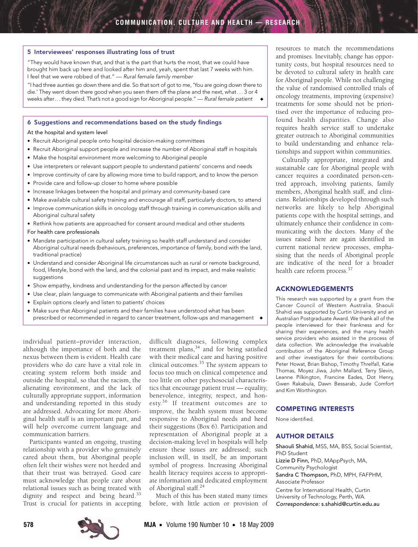#### <span id="page-4-0"></span>5 Interviewees' responses illustrating loss of trust

"They would have known that, and that is the part that hurts the most, that we could have brought him back up here and looked after him and, yeah, spent that last 7 weeks with him. I feel that we were robbed of that." — Rural female family member

"I had three aunties go down there and die. So that sort of got to me, 'You are going down there to die.' They went down there good when you seen them off the plane and the next, what. . . 3 or 4 weeks after... they died. That's not a good sign for Aboriginal people." — Rural female patient

#### <span id="page-4-1"></span>6 Suggestions and recommendations based on the study findings

#### At the hospital and system level

- Recruit Aboriginal people onto hospital decision-making committees
- Recruit Aboriginal support people and increase the number of Aboriginal staff in hospitals
- Make the hospital environment more welcoming to Aboriginal people
- Use interpreters or relevant support people to understand patients' concerns and needs
- Improve continuity of care by allowing more time to build rapport, and to know the person
- Provide care and follow-up closer to home where possible
- Increase linkages between the hospital and primary and community-based care
- Make available cultural safety training and encourage all staff, particularly doctors, to attend
- Improve communication skills in oncology staff through training in communication skills and Aboriginal cultural safety
- Rethink how patients are approached for consent around medical and other students

# For health care professionals

- Mandate participation in cultural safety training so health staff understand and consider Aboriginal cultural needs (behaviours, preferences, importance of family, bond with the land, traditional practice)
- Understand and consider Aboriginal life circumstances such as rural or remote background, food, lifestyle, bond with the land, and the colonial past and its impact, and make realistic suggestions
- Show empathy, kindness and understanding for the person affected by cancer
- Use clear, plain language to communicate with Aboriginal patients and their families
- Explain options clearly and listen to patients' choices
- Make sure that Aboriginal patients and their families have understood what has been prescribed or recommended in regard to cancer treatment, follow-ups and management ◆

individual patient–provider interaction, although the importance of both and the nexus between them is evident. Health care providers who do care have a vital role in creating system reform both inside and outside the hospital, so that the racism, the alienating environment, and the lack of culturally appropriate support, information and understanding reported in this study are addressed. Advocating for more Aboriginal health staff is an important part, and will help overcome current language and communication barriers.

Participants wanted an ongoing, trusting relationship with a provider who genuinely cared about them, but Aboriginal people often felt their wishes were not heeded and that their trust was betrayed. Good care must acknowledge that people care about relational issues such as being treated with dignity and respect and being heard.<sup>[33](#page-5-29)</sup> Trust is crucial for patients in accepting difficult diagnoses, following complex treatment plans,<sup>34</sup> and for being satisfied with their medical care and having positive clinical outcomes.[35](#page-5-31) The system appears to focus too much on clinical competence and too little on other psychosocial characteristics that encourage patient trust — equality, benevolence, integrity, respect, and honesty.<sup>36</sup> If treatment outcomes are to improve, the health system must become responsive to Aboriginal needs and heed their suggestions ([Box 6](#page-4-1)). Participation and representation of Aboriginal people at a decision-making level in hospitals will help ensure these issues are addressed; such inclusion will, in itself, be an important symbol of progress. Increasing Aboriginal health literacy requires access to appropriate information and dedicated employment of Aboriginal staff.[24](#page-5-20)

Much of this has been stated many times before, with little action or provision of resources to match the recommendations and promises. Inevitably, change has opportunity costs, but hospital resources need to be devoted to cultural safety in health care for Aboriginal people. While not challenging the value of randomised controlled trials of oncology treatments, improving (expensive) treatments for some should not be prioritised over the importance of reducing profound health disparities. Change also requires health service staff to undertake greater outreach to Aboriginal communities to build understanding and enhance relationships and support within communities.

Culturally appropriate, integrated and sustainable care for Aboriginal people with cancer requires a coordinated person-centred approach, involving patients, family members, Aboriginal health staff, and clinicians. Relationships developed through such networks are likely to help Aboriginal patients cope with the hospital settings, and ultimately enhance their confidence in communicating with the doctors. Many of the issues raised here are again identified in current national review processes, emphasising that the needs of Aboriginal people are indicative of the need for a broader health care reform process.<sup>37</sup>

# ACKNOWLEDGEMENTS

This research was supported by a grant from the Cancer Council of Western Australia. Shaouli Shahid was supported by Curtin University and an Australian Postgraduate Award. We thank all of the people interviewed for their frankness and for sharing their experiences, and the many health service providers who assisted in the process of data collection. We acknowledge the invaluable contribution of the Aboriginal Reference Group and other investigators for their contributions: Peter Howat, Brian Bishop, Timothy Threlfall, Katie Thomas, Moyez Jiwa, John Mallard, Terry Slevin, Leanne Pilkington, Francine Eades, Dot Henry, Gwen Rakabula, Dawn Bessarab, Jude Comfort and Kim Worthington.

#### COMPETING INTERESTS

None identified.

## AUTHOR DETAILS

Shaouli Shahid, MSS, MA, BSS, Social Scientist, PhD Student Lizzie D Finn, PhD, MAppPsych, MA, Community Psychologist Sandra C Thompson, PhD, MPH, FAFPHM, Associate Professor Centre for International Health, Curtin University of Technology, Perth, WA. Correspondence: s.shahid@curtin.edu.au